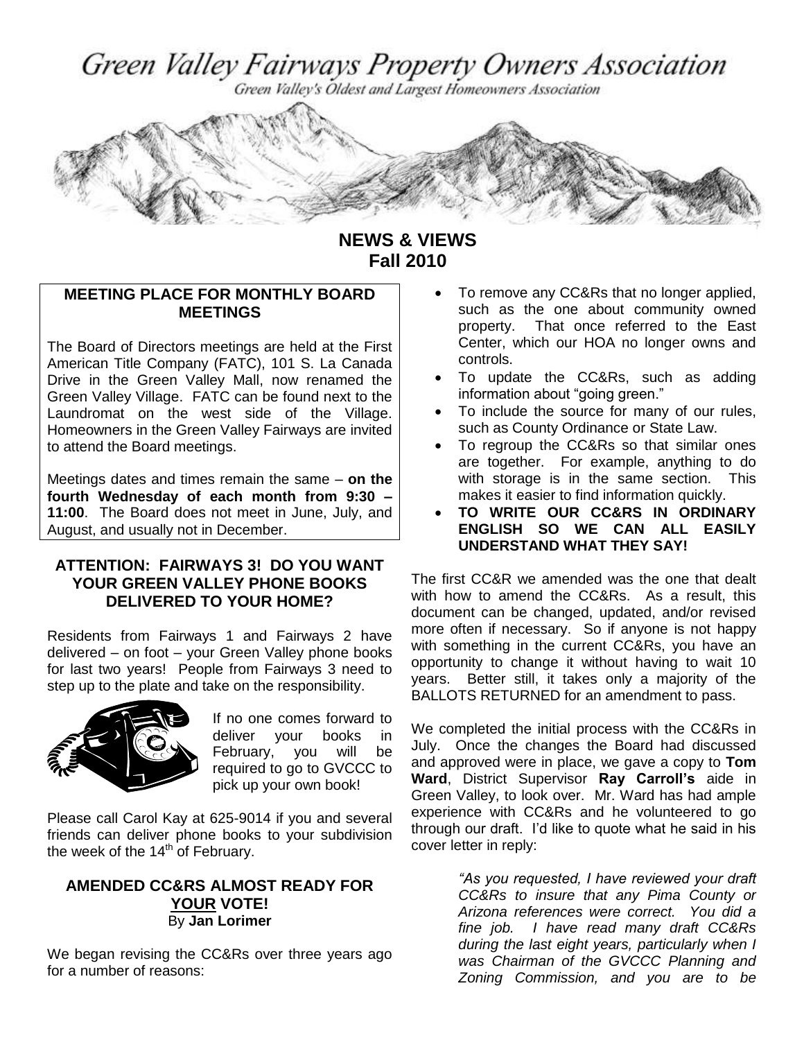Green Valley Fairways Property Owners Association

Green Valley's Oldest and Largest Homeowners Association



**NEWS & VIEWS Fall 2010**

# **MEETING PLACE FOR MONTHLY BOARD MEETINGS**

The Board of Directors meetings are held at the First American Title Company (FATC), 101 S. La Canada Drive in the Green Valley Mall, now renamed the Green Valley Village. FATC can be found next to the Laundromat on the west side of the Village. Homeowners in the Green Valley Fairways are invited to attend the Board meetings.

Meetings dates and times remain the same – **on the fourth Wednesday of each month from 9:30 – 11:00**. The Board does not meet in June, July, and August, and usually not in December.

## **ATTENTION: FAIRWAYS 3! DO YOU WANT YOUR GREEN VALLEY PHONE BOOKS DELIVERED TO YOUR HOME?**

Residents from Fairways 1 and Fairways 2 have delivered – on foot – your Green Valley phone books for last two years! People from Fairways 3 need to step up to the plate and take on the responsibility.



If no one comes forward to deliver your books in February, you will be required to go to GVCCC to pick up your own book!

Please call Carol Kay at 625-9014 if you and several friends can deliver phone books to your subdivision the week of the  $14<sup>th</sup>$  of February.

## **AMENDED CC&RS ALMOST READY FOR YOUR VOTE!** By **Jan Lorimer**

We began revising the CC&Rs over three years ago for a number of reasons:

- **MEETING PLACE FOR MONTHLY BOARD** To remove any CC&Rs that no longer applied, such as the one about community owned property. That once referred to the East Center, which our HOA no longer owns and controls.
	- To update the CC&Rs, such as adding information about "going green."
	- To include the source for many of our rules, such as County Ordinance or State Law.
	- To regroup the CC&Rs so that similar ones are together. For example, anything to do with storage is in the same section. This makes it easier to find information quickly.
	- **TO WRITE OUR CC&RS IN ORDINARY ENGLISH SO WE CAN ALL EASILY UNDERSTAND WHAT THEY SAY!**

The first CC&R we amended was the one that dealt with how to amend the CC&Rs. As a result, this document can be changed, updated, and/or revised more often if necessary. So if anyone is not happy with something in the current CC&Rs, you have an opportunity to change it without having to wait 10 years. Better still, it takes only a majority of the BALLOTS RETURNED for an amendment to pass.

We completed the initial process with the CC&Rs in July. Once the changes the Board had discussed and approved were in place, we gave a copy to **Tom Ward**, District Supervisor **Ray Carroll's** aide in Green Valley, to look over. Mr. Ward has had ample experience with CC&Rs and he volunteered to go through our draft. I'd like to quote what he said in his cover letter in reply:

> *"As you requested, I have reviewed your draft CC&Rs to insure that any Pima County or Arizona references were correct. You did a fine job. I have read many draft CC&Rs during the last eight years, particularly when I was Chairman of the GVCCC Planning and Zoning Commission, and you are to be*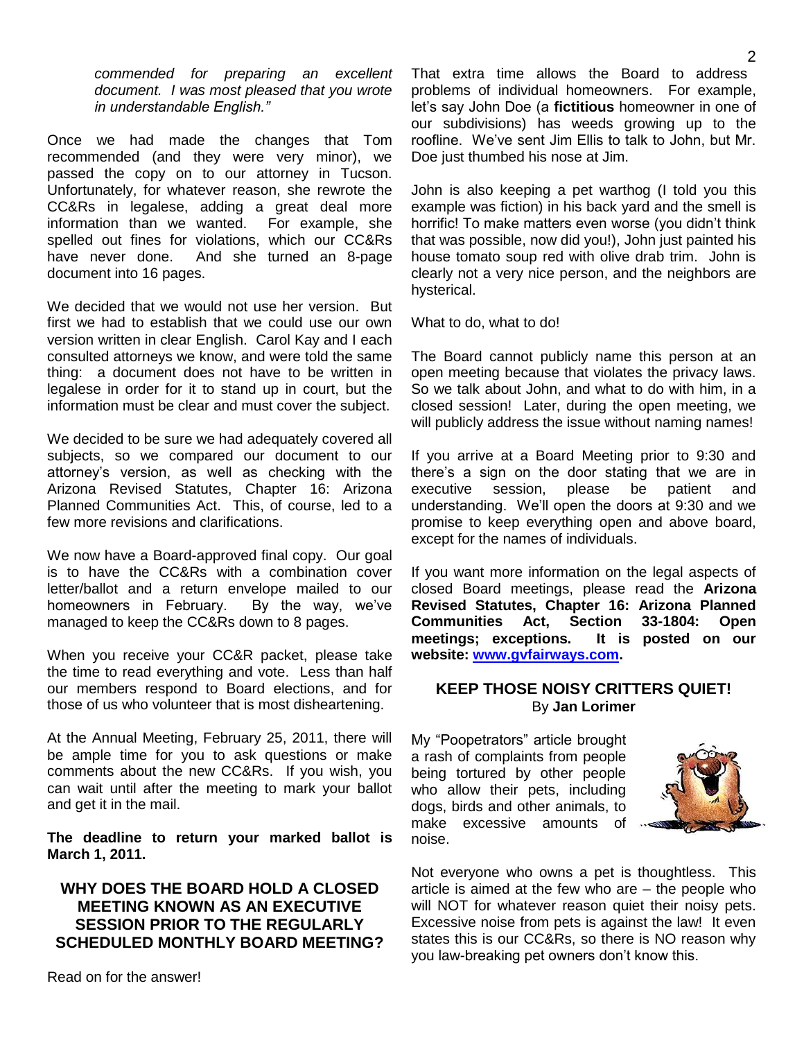*commended for preparing an excellent document. I was most pleased that you wrote in understandable English."*

Once we had made the changes that Tom recommended (and they were very minor), we passed the copy on to our attorney in Tucson. Unfortunately, for whatever reason, she rewrote the CC&Rs in legalese, adding a great deal more information than we wanted. For example, she spelled out fines for violations, which our CC&Rs have never done. And she turned an 8-page document into 16 pages.

We decided that we would not use her version. But first we had to establish that we could use our own version written in clear English. Carol Kay and I each consulted attorneys we know, and were told the same thing: a document does not have to be written in legalese in order for it to stand up in court, but the information must be clear and must cover the subject.

We decided to be sure we had adequately covered all subjects, so we compared our document to our attorney's version, as well as checking with the Arizona Revised Statutes, Chapter 16: Arizona Planned Communities Act. This, of course, led to a few more revisions and clarifications.

We now have a Board-approved final copy. Our goal is to have the CC&Rs with a combination cover letter/ballot and a return envelope mailed to our homeowners in February. By the way, we've managed to keep the CC&Rs down to 8 pages.

When you receive your CC&R packet, please take the time to read everything and vote. Less than half our members respond to Board elections, and for those of us who volunteer that is most disheartening.

At the Annual Meeting, February 25, 2011, there will be ample time for you to ask questions or make comments about the new CC&Rs. If you wish, you can wait until after the meeting to mark your ballot and get it in the mail.

**The deadline to return your marked ballot is March 1, 2011.** 

## **WHY DOES THE BOARD HOLD A CLOSED MEETING KNOWN AS AN EXECUTIVE SESSION PRIOR TO THE REGULARLY SCHEDULED MONTHLY BOARD MEETING?**

That extra time allows the Board to address problems of individual homeowners. For example, let's say John Doe (a **fictitious** homeowner in one of our subdivisions) has weeds growing up to the roofline. We've sent Jim Ellis to talk to John, but Mr. Doe just thumbed his nose at Jim.

John is also keeping a pet warthog (I told you this example was fiction) in his back yard and the smell is horrific! To make matters even worse (you didn't think that was possible, now did you!), John just painted his house tomato soup red with olive drab trim. John is clearly not a very nice person, and the neighbors are hysterical.

What to do, what to do!

The Board cannot publicly name this person at an open meeting because that violates the privacy laws. So we talk about John, and what to do with him, in a closed session! Later, during the open meeting, we will publicly address the issue without naming names!

If you arrive at a Board Meeting prior to 9:30 and there's a sign on the door stating that we are in executive session, please be patient and understanding. We'll open the doors at 9:30 and we promise to keep everything open and above board, except for the names of individuals.

If you want more information on the legal aspects of closed Board meetings, please read the **Arizona Revised Statutes, Chapter 16: Arizona Planned Communities Act, Section 33-1804: Open meetings; exceptions. It is posted on our website: [www.gvfairways.com.](http://www.gvfairways.com/)** 

#### **KEEP THOSE NOISY CRITTERS QUIET!** By **Jan Lorimer**

My "Poopetrators" article brought a rash of complaints from people being tortured by other people who allow their pets, including dogs, birds and other animals, to make excessive amounts of noise.



Not everyone who owns a pet is thoughtless. This article is aimed at the few who are – the people who will NOT for whatever reason quiet their noisy pets. Excessive noise from pets is against the law! It even states this is our CC&Rs, so there is NO reason why you law-breaking pet owners don't know this.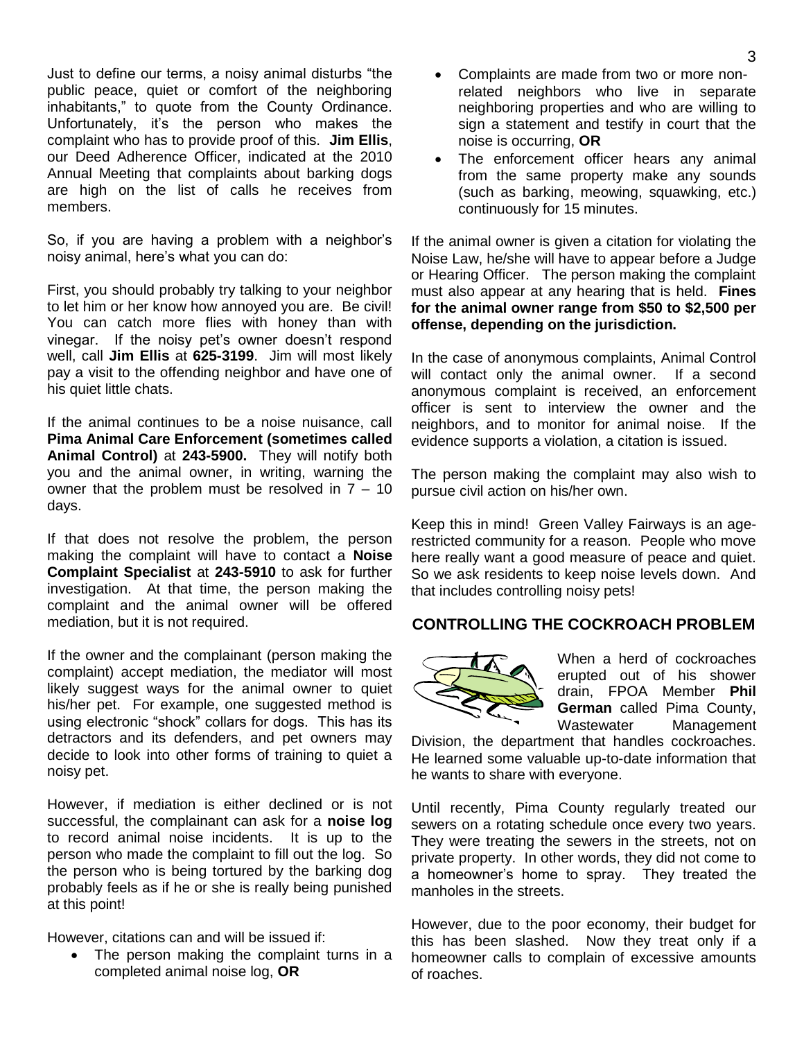Just to define our terms, a noisy animal disturbs "the public peace, quiet or comfort of the neighboring inhabitants," to quote from the County Ordinance. Unfortunately, it's the person who makes the complaint who has to provide proof of this. **Jim Ellis**, our Deed Adherence Officer, indicated at the 2010 Annual Meeting that complaints about barking dogs are high on the list of calls he receives from members.

So, if you are having a problem with a neighbor's noisy animal, here's what you can do:

First, you should probably try talking to your neighbor to let him or her know how annoyed you are. Be civil! You can catch more flies with honey than with vinegar. If the noisy pet's owner doesn't respond well, call **Jim Ellis** at **625-3199**. Jim will most likely pay a visit to the offending neighbor and have one of his quiet little chats.

If the animal continues to be a noise nuisance, call **Pima Animal Care Enforcement (sometimes called Animal Control)** at **243-5900.** They will notify both you and the animal owner, in writing, warning the owner that the problem must be resolved in  $7 - 10$ days.

If that does not resolve the problem, the person making the complaint will have to contact a **Noise Complaint Specialist** at **243-5910** to ask for further investigation. At that time, the person making the complaint and the animal owner will be offered mediation, but it is not required.

If the owner and the complainant (person making the complaint) accept mediation, the mediator will most likely suggest ways for the animal owner to quiet his/her pet. For example, one suggested method is using electronic "shock" collars for dogs. This has its detractors and its defenders, and pet owners may decide to look into other forms of training to quiet a noisy pet.

However, if mediation is either declined or is not successful, the complainant can ask for a **noise log** to record animal noise incidents. It is up to the person who made the complaint to fill out the log. So the person who is being tortured by the barking dog probably feels as if he or she is really being punished at this point!

However, citations can and will be issued if:

 The person making the complaint turns in a completed animal noise log, **OR**

- Complaints are made from two or more nonrelated neighbors who live in separate neighboring properties and who are willing to sign a statement and testify in court that the noise is occurring, **OR**
- The enforcement officer hears any animal from the same property make any sounds (such as barking, meowing, squawking, etc.) continuously for 15 minutes.

If the animal owner is given a citation for violating the Noise Law, he/she will have to appear before a Judge or Hearing Officer. The person making the complaint must also appear at any hearing that is held. **Fines for the animal owner range from \$50 to \$2,500 per offense, depending on the jurisdiction.** 

In the case of anonymous complaints, Animal Control will contact only the animal owner. If a second anonymous complaint is received, an enforcement officer is sent to interview the owner and the neighbors, and to monitor for animal noise. If the evidence supports a violation, a citation is issued.

The person making the complaint may also wish to pursue civil action on his/her own.

Keep this in mind! Green Valley Fairways is an agerestricted community for a reason. People who move here really want a good measure of peace and quiet. So we ask residents to keep noise levels down. And that includes controlling noisy pets!

## **CONTROLLING THE COCKROACH PROBLEM**



When a herd of cockroaches erupted out of his shower drain, FPOA Member **Phil German** called Pima County, Wastewater Management

Division, the department that handles cockroaches. He learned some valuable up-to-date information that he wants to share with everyone.

Until recently, Pima County regularly treated our sewers on a rotating schedule once every two years. They were treating the sewers in the streets, not on private property. In other words, they did not come to a homeowner's home to spray. They treated the manholes in the streets.

However, due to the poor economy, their budget for this has been slashed. Now they treat only if a homeowner calls to complain of excessive amounts of roaches.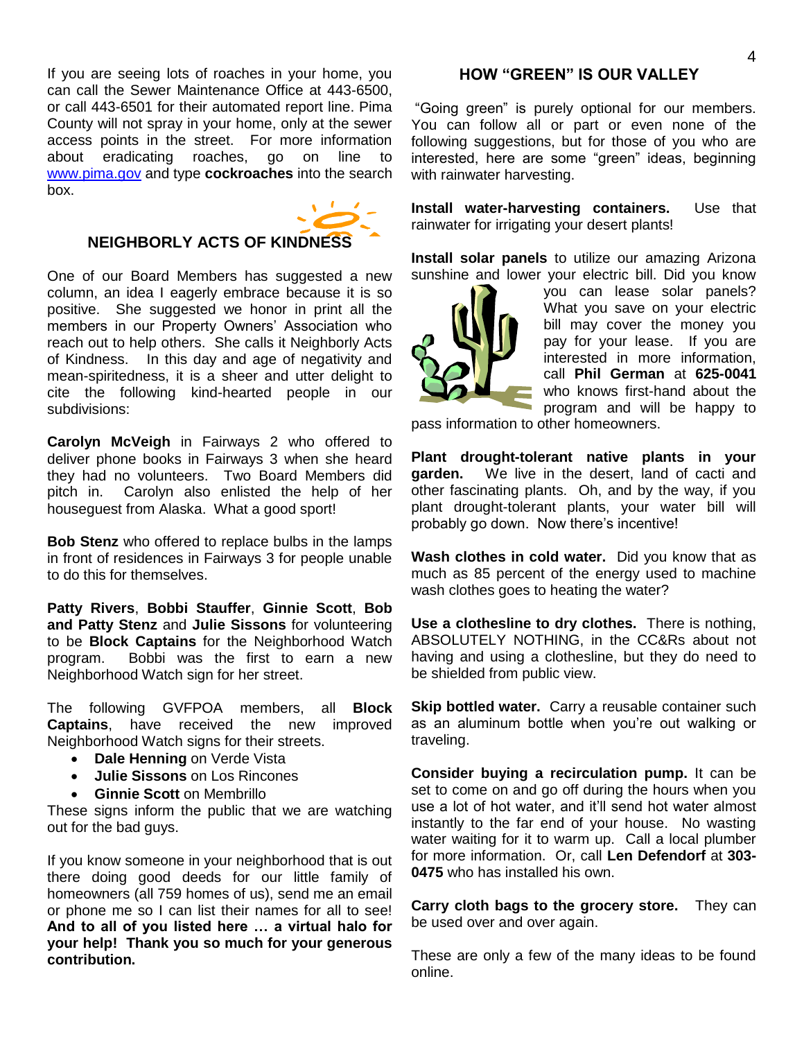If you are seeing lots of roaches in your home, you can call the Sewer Maintenance Office at 443-6500, or call 443-6501 for their automated report line. Pima County will not spray in your home, only at the sewer access points in the street. For more information about eradicating roaches, go on line to [www.pima.gov](http://www.pima.gov/) and type **cockroaches** into the search box.



#### **NEIGHBORLY ACTS OF KINDNESS**

One of our Board Members has suggested a new column, an idea I eagerly embrace because it is so positive. She suggested we honor in print all the members in our Property Owners' Association who reach out to help others. She calls it Neighborly Acts of Kindness. In this day and age of negativity and mean-spiritedness, it is a sheer and utter delight to cite the following kind-hearted people in our subdivisions:

**Carolyn McVeigh** in Fairways 2 who offered to deliver phone books in Fairways 3 when she heard they had no volunteers. Two Board Members did pitch in. Carolyn also enlisted the help of her houseguest from Alaska. What a good sport!

**Bob Stenz** who offered to replace bulbs in the lamps in front of residences in Fairways 3 for people unable to do this for themselves.

**Patty Rivers**, **Bobbi Stauffer**, **Ginnie Scott**, **Bob and Patty Stenz** and **Julie Sissons** for volunteering to be **Block Captains** for the Neighborhood Watch program. Bobbi was the first to earn a new Neighborhood Watch sign for her street.

The following GVFPOA members, all **Block Captains**, have received the new improved Neighborhood Watch signs for their streets.

- **Dale Henning on Verde Vista**
- **Julie Sissons** on Los Rincones
- **Ginnie Scott** on Membrillo

These signs inform the public that we are watching out for the bad guys.

If you know someone in your neighborhood that is out there doing good deeds for our little family of homeowners (all 759 homes of us), send me an email or phone me so I can list their names for all to see! **And to all of you listed here … a virtual halo for your help! Thank you so much for your generous contribution.** 

#### **HOW "GREEN" IS OUR VALLEY**

"Going green" is purely optional for our members. You can follow all or part or even none of the following suggestions, but for those of you who are interested, here are some "green" ideas, beginning with rainwater harvesting.

**Install water-harvesting containers.** Use that rainwater for irrigating your desert plants!

**Install solar panels** to utilize our amazing Arizona sunshine and lower your electric bill. Did you know



you can lease solar panels? What you save on your electric bill may cover the money you pay for your lease. If you are interested in more information, call **Phil German** at **625-0041** who knows first-hand about the program and will be happy to

pass information to other homeowners.

**Plant drought-tolerant native plants in your garden.** We live in the desert, land of cacti and other fascinating plants. Oh, and by the way, if you plant drought-tolerant plants, your water bill will probably go down. Now there's incentive!

**Wash clothes in cold water.** Did you know that as much as 85 percent of the energy used to machine wash clothes goes to heating the water?

**Use a clothesline to dry clothes.**There is nothing, ABSOLUTELY NOTHING, in the CC&Rs about not having and using a clothesline, but they do need to be shielded from public view.

**Skip bottled water.** Carry a reusable container such as an aluminum bottle when you're out walking or traveling.

**Consider buying a recirculation pump.** It can be set to come on and go off during the hours when you use a lot of hot water, and it'll send hot water almost instantly to the far end of your house. No wasting water waiting for it to warm up. Call a local plumber for more information. Or, call **Len Defendorf** at **303- 0475** who has installed his own.

**Carry cloth bags to the grocery store.** They can be used over and over again.

These are only a few of the many ideas to be found online.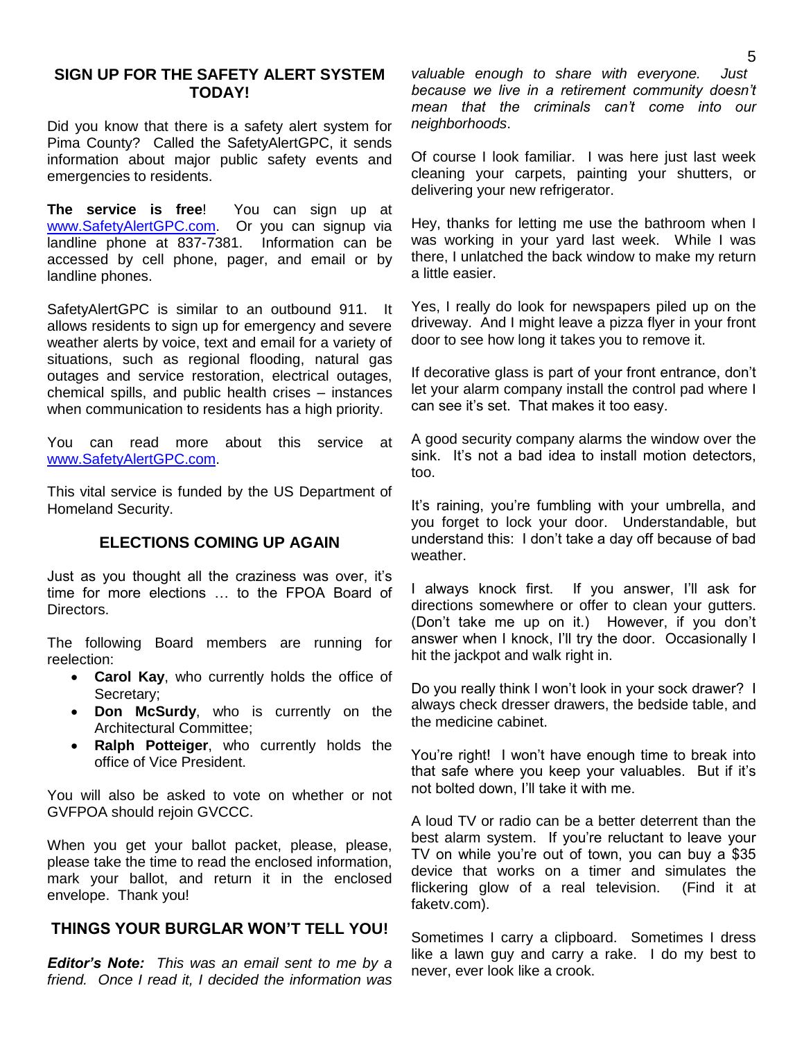## **SIGN UP FOR THE SAFETY ALERT SYSTEM TODAY!**

Did you know that there is a safety alert system for Pima County? Called the SafetyAlertGPC, it sends information about major public safety events and emergencies to residents.

**The service is free**! You can sign up at [www.SafetyAlertGPC.com.](http://www.safetyalertgpc.com/) Or you can signup via landline phone at 837-7381. Information can be accessed by cell phone, pager, and email or by landline phones.

SafetyAlertGPC is similar to an outbound 911. It allows residents to sign up for emergency and severe weather alerts by voice, text and email for a variety of situations, such as regional flooding, natural gas outages and service restoration, electrical outages, chemical spills, and public health crises – instances when communication to residents has a high priority.

You can read more about this service at [www.SafetyAlertGPC.com.](http://www.safetyalertgpc.com/)

This vital service is funded by the US Department of Homeland Security.

## **ELECTIONS COMING UP AGAIN**

Just as you thought all the craziness was over, it's time for more elections … to the FPOA Board of Directors.

The following Board members are running for reelection:

- **Carol Kay**, who currently holds the office of Secretary;
- **Don McSurdy**, who is currently on the Architectural Committee;
- **Ralph Potteiger**, who currently holds the office of Vice President.

You will also be asked to vote on whether or not GVFPOA should rejoin GVCCC.

When you get your ballot packet, please, please, please take the time to read the enclosed information, mark your ballot, and return it in the enclosed envelope. Thank you!

#### **THINGS YOUR BURGLAR WON'T TELL YOU!**

*Editor's Note: This was an email sent to me by a friend. Once I read it, I decided the information was* 

*valuable enough to share with everyone. Just because we live in a retirement community doesn't mean that the criminals can't come into our neighborhoods*.

Of course I look familiar. I was here just last week cleaning your carpets, painting your shutters, or delivering your new refrigerator.

Hey, thanks for letting me use the bathroom when I was working in your yard last week. While I was there, I unlatched the back window to make my return a little easier.

Yes, I really do look for newspapers piled up on the driveway. And I might leave a pizza flyer in your front door to see how long it takes you to remove it.

If decorative glass is part of your front entrance, don't let your alarm company install the control pad where I can see it's set. That makes it too easy.

A good security company alarms the window over the sink. It's not a bad idea to install motion detectors, too.

It's raining, you're fumbling with your umbrella, and you forget to lock your door. Understandable, but understand this: I don't take a day off because of bad weather.

I always knock first. If you answer, I'll ask for directions somewhere or offer to clean your gutters. (Don't take me up on it.) However, if you don't answer when I knock, I'll try the door. Occasionally I hit the jackpot and walk right in.

Do you really think I won't look in your sock drawer? I always check dresser drawers, the bedside table, and the medicine cabinet.

You're right! I won't have enough time to break into that safe where you keep your valuables. But if it's not bolted down, I'll take it with me.

A loud TV or radio can be a better deterrent than the best alarm system. If you're reluctant to leave your TV on while you're out of town, you can buy a \$35 device that works on a timer and simulates the flickering glow of a real television. (Find it at faketv.com).

Sometimes I carry a clipboard. Sometimes I dress like a lawn guy and carry a rake. I do my best to never, ever look like a crook.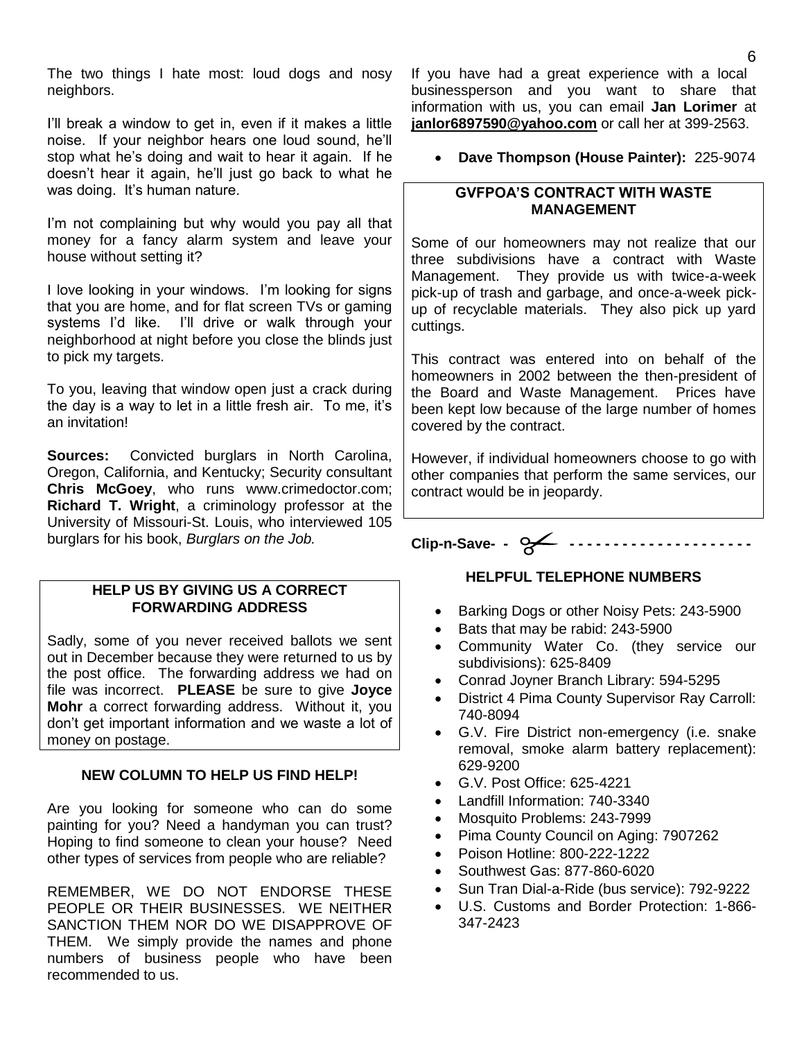The two things I hate most: loud dogs and nosy neighbors.

I'll break a window to get in, even if it makes a little noise. If your neighbor hears one loud sound, he'll stop what he's doing and wait to hear it again. If he doesn't hear it again, he'll just go back to what he was doing. It's human nature.

I'm not complaining but why would you pay all that money for a fancy alarm system and leave your house without setting it?

I love looking in your windows. I'm looking for signs that you are home, and for flat screen TVs or gaming systems I'd like. I'll drive or walk through your neighborhood at night before you close the blinds just to pick my targets.

To you, leaving that window open just a crack during the day is a way to let in a little fresh air. To me, it's an invitation!

**Sources:** Convicted burglars in North Carolina, Oregon, California, and Kentucky; Security consultant **Chris McGoey**, who runs www.crimedoctor.com; **Richard T. Wright**, a criminology professor at the University of Missouri-St. Louis, who interviewed 105 burglars for his book, *Burglars on the Job.* 

## **HELP US BY GIVING US A CORRECT FORWARDING ADDRESS**

Sadly, some of you never received ballots we sent out in December because they were returned to us by the post office. The forwarding address we had on file was incorrect. **PLEASE** be sure to give **Joyce Mohr** a correct forwarding address. Without it, you don't get important information and we waste a lot of money on postage.

## **NEW COLUMN TO HELP US FIND HELP!**

Are you looking for someone who can do some painting for you? Need a handyman you can trust? Hoping to find someone to clean your house? Need other types of services from people who are reliable?

REMEMBER, WE DO NOT ENDORSE THESE PEOPLE OR THEIR BUSINESSES. WE NEITHER SANCTION THEM NOR DO WE DISAPPROVE OF THEM. We simply provide the names and phone numbers of business people who have been recommended to us.

If you have had a great experience with a local businessperson and you want to share that information with us, you can email **Jan Lorimer** at **[janlor6897590@yahoo.com](mailto:janlor6897590@yahoo.com)** or call her at 399-2563.

**Dave Thompson (House Painter):** 225-9074

## **GVFPOA'S CONTRACT WITH WASTE MANAGEMENT**

Some of our homeowners may not realize that our three subdivisions have a contract with Waste Management. They provide us with twice-a-week pick-up of trash and garbage, and once-a-week pickup of recyclable materials. They also pick up yard cuttings.

This contract was entered into on behalf of the homeowners in 2002 between the then-president of the Board and Waste Management. Prices have been kept low because of the large number of homes covered by the contract.

However, if individual homeowners choose to go with other companies that perform the same services, our contract would be in jeopardy.

**Clip-n-Save- - - - - - - - - - - - - - - - - - - - - - -** 

## **HELPFUL TELEPHONE NUMBERS**

- Barking Dogs or other Noisy Pets: 243-5900
- Bats that may be rabid: 243-5900
- Community Water Co. (they service our subdivisions): 625-8409
- Conrad Joyner Branch Library: 594-5295
- District 4 Pima County Supervisor Ray Carroll: 740-8094
- G.V. Fire District non-emergency (i.e. snake removal, smoke alarm battery replacement): 629-9200
- G.V. Post Office: 625-4221
- Landfill Information: 740-3340
- Mosquito Problems: 243-7999
- Pima County Council on Aging: 7907262
- Poison Hotline: 800-222-1222
- Southwest Gas: 877-860-6020
- Sun Tran Dial-a-Ride (bus service): 792-9222
- U.S. Customs and Border Protection: 1-866- 347-2423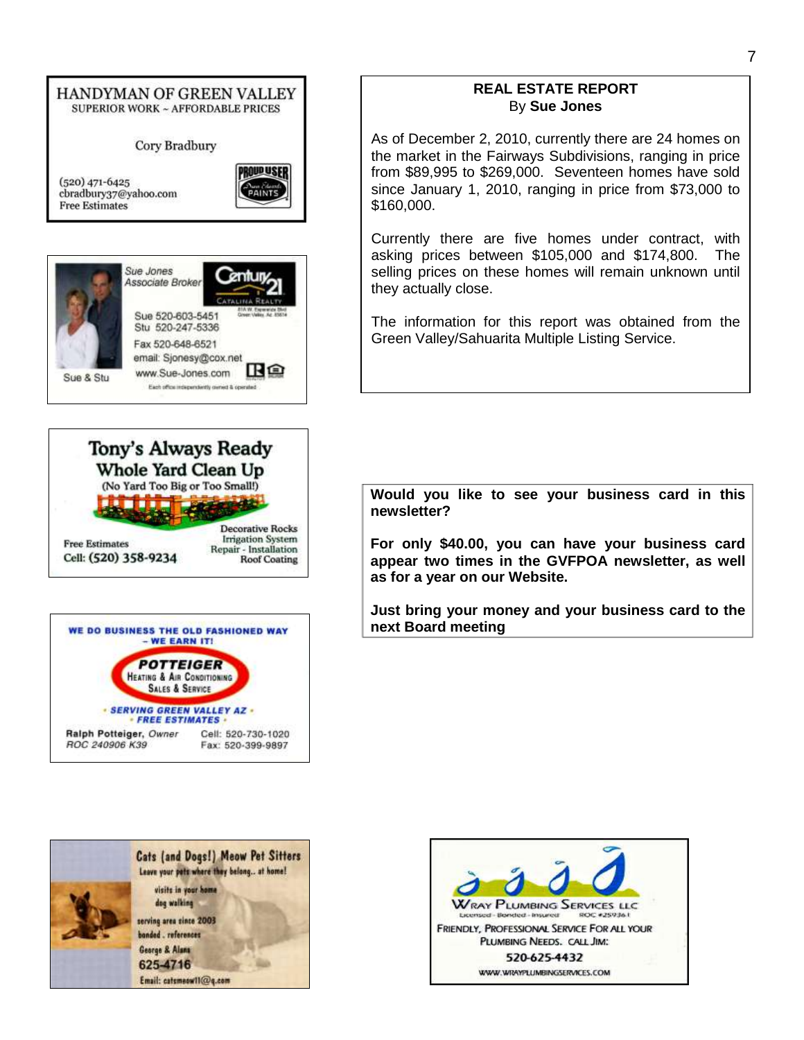#### HANDYMAN OF GREEN VALLEY **SUPERIOR WORK ~ AFFORDABLE PRICES**

Cory Bradbury



 $(520)$  471-6425 cbradbury37@yahoo.com **Free Estimates** 









#### **REAL ESTATE REPORT** By **Sue Jones**

As of December 2, 2010, currently there are 24 homes on the market in the Fairways Subdivisions, ranging in price from \$89,995 to \$269,000. Seventeen homes have sold since January 1, 2010, ranging in price from \$73,000 to \$160,000.

Currently there are five homes under contract, with asking prices between \$105,000 and \$174,800. The selling prices on these homes will remain unknown until they actually close.

The information for this report was obtained from the Green Valley/Sahuarita Multiple Listing Service.

**Would you like to see your business card in this newsletter?** 

**For only \$40.00, you can have your business card appear two times in the GVFPOA newsletter, as well as for a year on our Website.**

**Just bring your money and your business card to the next Board meeting**